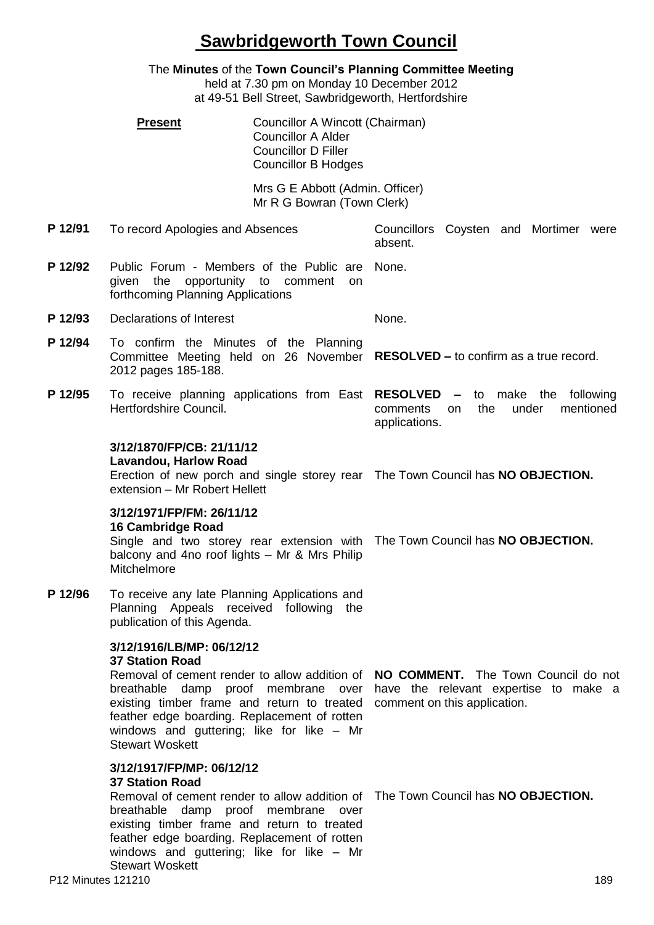## **Sawbridgeworth Town Council**

The **Minutes** of the **Town Council's Planning Committee Meeting** held at 7.30 pm on Monday 10 December 2012 at 49-51 Bell Street, Sawbridgeworth, Hertfordshire **Present Councillor A Wincott (Chairman)** Councillor A Alder Councillor D Filler Councillor B Hodges Mrs G E Abbott (Admin. Officer) Mr R G Bowran (Town Clerk) **P 12/91** To record Apologies and Absences Councillors Coysten and Mortimer were absent. **P 12/92** Public Forum - Members of the Public are None. given the opportunity to comment on forthcoming Planning Applications **P 12/93** Declarations of Interest None. **P 12/94** To confirm the Minutes of the Planning Committee Meeting held on 26 November **RESOLVED –** to confirm as a true record. 2012 pages 185-188. **P 12/95** To receive planning applications from East **RESOLVED –** to make the following Hertfordshire Council. comments on the under mentioned applications. **3/12/1870/FP/CB: 21/11/12 Lavandou, Harlow Road** Erection of new porch and single storey rear The Town Council has **NO OBJECTION.** extension – Mr Robert Hellett **3/12/1971/FP/FM: 26/11/12 16 Cambridge Road** Single and two storey rear extension with The Town Council has **NO OBJECTION.** balcony and 4no roof lights – Mr & Mrs Philip **Mitchelmore P 12/96** To receive any late Planning Applications and Planning Appeals received following the publication of this Agenda. **3/12/1916/LB/MP: 06/12/12 37 Station Road** Removal of cement render to allow addition of **NO COMMENT.** The Town Council do not breathable damp proof membrane over have the relevant expertise to make a existing timber frame and return to treated comment on this application. feather edge boarding. Replacement of rotten windows and guttering; like for like – Mr Stewart Woskett **3/12/1917/FP/MP: 06/12/12 37 Station Road** Removal of cement render to allow addition of The Town Council has **NO OBJECTION.**breathable damp proof membrane over existing timber frame and return to treated feather edge boarding. Replacement of rotten windows and guttering; like for like – Mr

Stewart Woskett